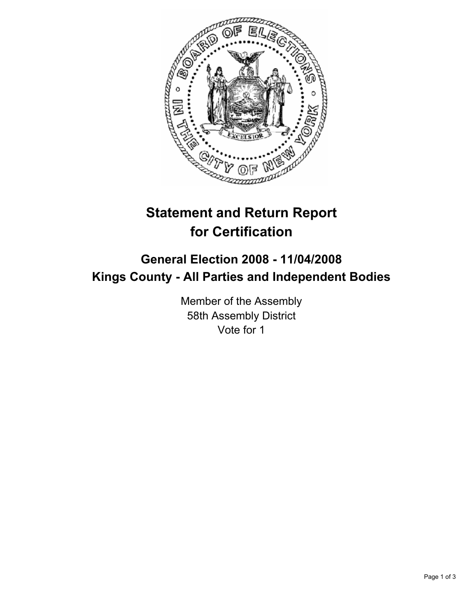

# **Statement and Return Report for Certification**

# **General Election 2008 - 11/04/2008 Kings County - All Parties and Independent Bodies**

Member of the Assembly 58th Assembly District Vote for 1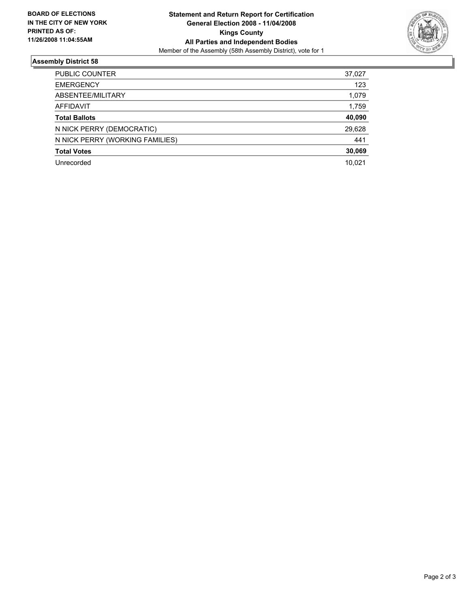

## **Assembly District 58**

| PUBLIC COUNTER                  | 37,027 |
|---------------------------------|--------|
| <b>EMERGENCY</b>                | 123    |
| ABSENTEE/MILITARY               | 1,079  |
| AFFIDAVIT                       | 1,759  |
| <b>Total Ballots</b>            | 40,090 |
| N NICK PERRY (DEMOCRATIC)       | 29,628 |
| N NICK PERRY (WORKING FAMILIES) | 441    |
| <b>Total Votes</b>              | 30,069 |
| Unrecorded                      | 10,021 |
|                                 |        |